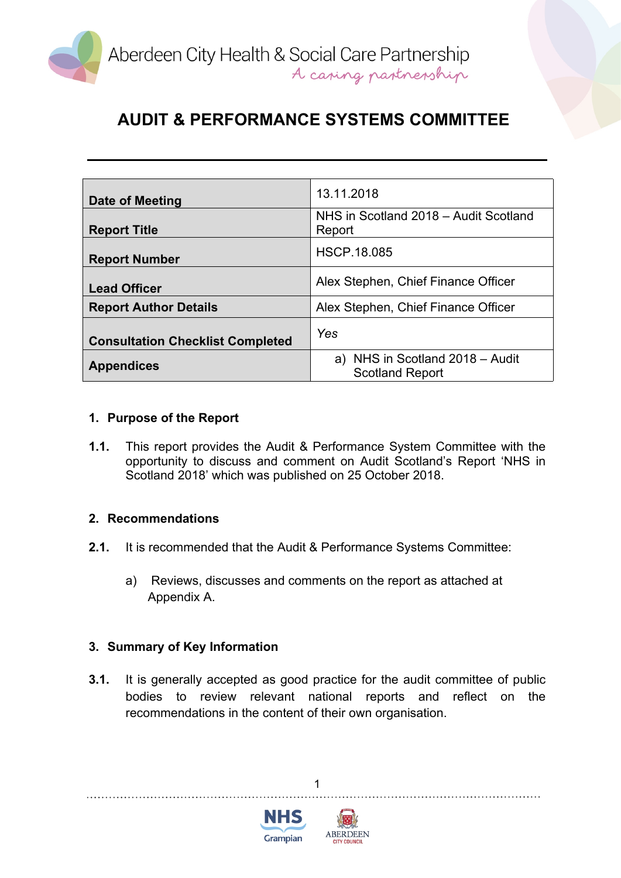

| Date of Meeting                         | 13.11.2018                                                |
|-----------------------------------------|-----------------------------------------------------------|
| <b>Report Title</b>                     | NHS in Scotland 2018 - Audit Scotland<br>Report           |
| <b>Report Number</b>                    | <b>HSCP.18.085</b>                                        |
| <b>Lead Officer</b>                     | Alex Stephen, Chief Finance Officer                       |
| <b>Report Author Details</b>            | Alex Stephen, Chief Finance Officer                       |
| <b>Consultation Checklist Completed</b> | Yes                                                       |
| <b>Appendices</b>                       | a) NHS in Scotland 2018 - Audit<br><b>Scotland Report</b> |

### **1. Purpose of the Report**

**1.1.** This report provides the Audit & Performance System Committee with the opportunity to discuss and comment on Audit Scotland's Report 'NHS in Scotland 2018' which was published on 25 October 2018.

#### **2. Recommendations**

- **2.1.** It is recommended that the Audit & Performance Systems Committee:
	- a) Reviews, discusses and comments on the report as attached at Appendix A.

### **3. Summary of Key Information**

**3.1.** It is generally accepted as good practice for the audit committee of public bodies to review relevant national reports and reflect on the recommendations in the content of their own organisation.

1



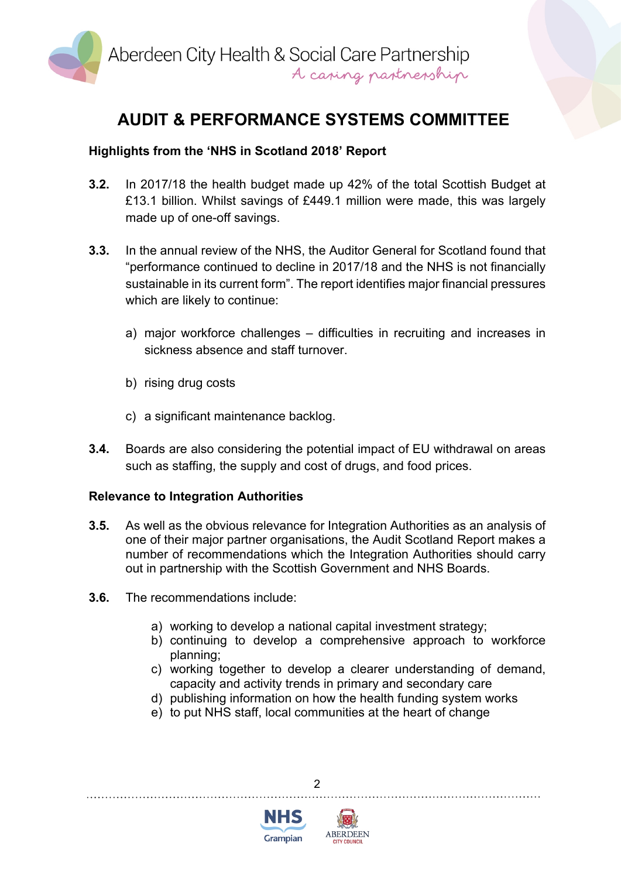

## **Highlights from the 'NHS in Scotland 2018' Report**

- **3.2.** In 2017/18 the health budget made up 42% of the total Scottish Budget at £13.1 billion. Whilst savings of £449.1 million were made, this was largely made up of one-off savings.
- **3.3.** In the annual review of the NHS, the Auditor General for Scotland found that "performance continued to decline in 2017/18 and the NHS is not financially sustainable in its current form". The report identifies major financial pressures which are likely to continue:
	- a) major workforce challenges difficulties in recruiting and increases in sickness absence and staff turnover.
	- b) rising drug costs
	- c) a significant maintenance backlog.
- **3.4.** Boards are also considering the potential impact of EU withdrawal on areas such as staffing, the supply and cost of drugs, and food prices.

#### **Relevance to Integration Authorities**

- **3.5.** As well as the obvious relevance for Integration Authorities as an analysis of one of their major partner organisations, the Audit Scotland Report makes a number of recommendations which the Integration Authorities should carry out in partnership with the Scottish Government and NHS Boards.
- **3.6.** The recommendations include:
	- a) working to develop a national capital investment strategy;
	- b) continuing to develop a comprehensive approach to workforce planning;
	- c) working together to develop a clearer understanding of demand, capacity and activity trends in primary and secondary care
	- d) publishing information on how the health funding system works
	- e) to put NHS staff, local communities at the heart of change

 $\mathfrak{p}$ 



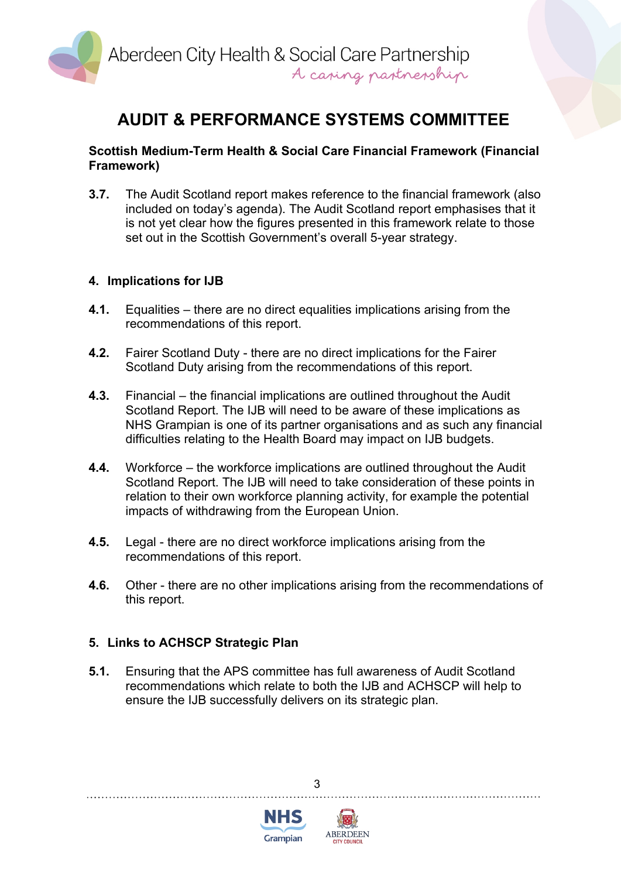

#### **Scottish Medium-Term Health & Social Care Financial Framework (Financial Framework)**

**3.7.** The Audit Scotland report makes reference to the financial framework (also included on today's agenda). The Audit Scotland report emphasises that it is not yet clear how the figures presented in this framework relate to those set out in the Scottish Government's overall 5-year strategy.

### **4. Implications for IJB**

- **4.1.** Equalities there are no direct equalities implications arising from the recommendations of this report.
- **4.2.** Fairer Scotland Duty there are no direct implications for the Fairer Scotland Duty arising from the recommendations of this report.
- **4.3.** Financial the financial implications are outlined throughout the Audit Scotland Report. The IJB will need to be aware of these implications as NHS Grampian is one of its partner organisations and as such any financial difficulties relating to the Health Board may impact on IJB budgets.
- **4.4.** Workforce the workforce implications are outlined throughout the Audit Scotland Report. The IJB will need to take consideration of these points in relation to their own workforce planning activity, for example the potential impacts of withdrawing from the European Union.
- **4.5.** Legal there are no direct workforce implications arising from the recommendations of this report.
- **4.6.** Other there are no other implications arising from the recommendations of this report.

### **5. Links to ACHSCP Strategic Plan**

**5.1.** Ensuring that the APS committee has full awareness of Audit Scotland recommendations which relate to both the IJB and ACHSCP will help to ensure the IJB successfully delivers on its strategic plan.

3